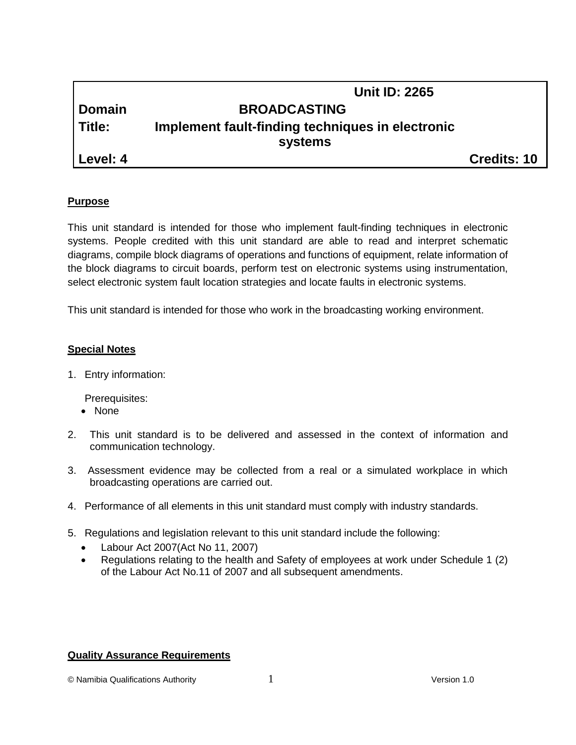|          | <b>Unit ID: 2265</b>                             |                    |
|----------|--------------------------------------------------|--------------------|
| I Domain | <b>BROADCASTING</b>                              |                    |
| Title:   | Implement fault-finding techniques in electronic |                    |
|          | systems                                          |                    |
| Level: 4 |                                                  | <b>Credits: 10</b> |

# **Purpose**

This unit standard is intended for those who implement fault-finding techniques in electronic systems. People credited with this unit standard are able to read and interpret schematic diagrams, compile block diagrams of operations and functions of equipment, relate information of the block diagrams to circuit boards, perform test on electronic systems using instrumentation, select electronic system fault location strategies and locate faults in electronic systems.

This unit standard is intended for those who work in the broadcasting working environment.

#### **Special Notes**

1. Entry information:

Prerequisites:

- None
- 2. This unit standard is to be delivered and assessed in the context of information and communication technology.
- 3. Assessment evidence may be collected from a real or a simulated workplace in which broadcasting operations are carried out.
- 4. Performance of all elements in this unit standard must comply with industry standards.
- 5. Regulations and legislation relevant to this unit standard include the following:
	- Labour Act 2007(Act No 11, 2007)
	- Regulations relating to the health and Safety of employees at work under Schedule 1 (2) of the Labour Act No.11 of 2007 and all subsequent amendments.

#### **Quality Assurance Requirements**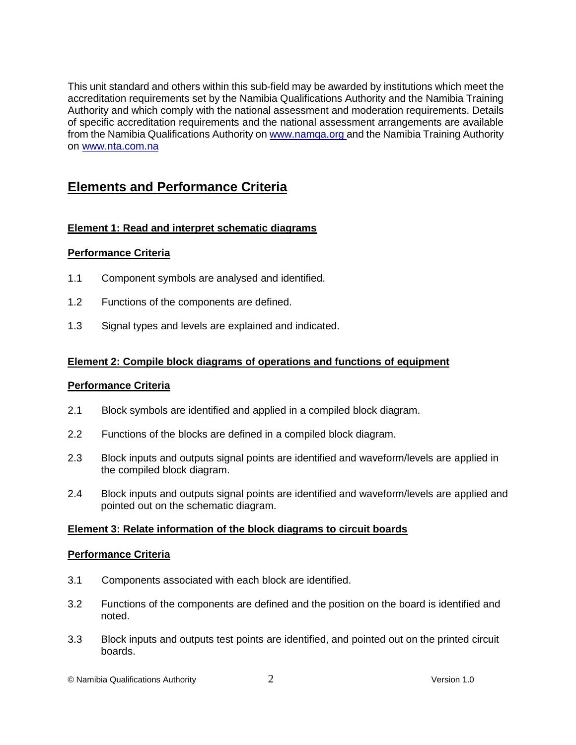This unit standard and others within this sub-field may be awarded by institutions which meet the accreditation requirements set by the Namibia Qualifications Authority and the Namibia Training Authority and which comply with the national assessment and moderation requirements. Details of specific accreditation requirements and the national assessment arrangements are available from the Namibia Qualifications Authority o[n www.namqa.org a](http://www.namqa.org/)nd the Namibia Training Authority on [www.nta.com.na](http://www.nta.com.na/)

# **Elements and Performance Criteria**

# **Element 1: Read and interpret schematic diagrams**

# **Performance Criteria**

- 1.1 Component symbols are analysed and identified.
- 1.2 Functions of the components are defined.
- 1.3 Signal types and levels are explained and indicated.

# **Element 2: Compile block diagrams of operations and functions of equipment**

# **Performance Criteria**

- 2.1 Block symbols are identified and applied in a compiled block diagram.
- 2.2 Functions of the blocks are defined in a compiled block diagram.
- 2.3 Block inputs and outputs signal points are identified and waveform/levels are applied in the compiled block diagram.
- 2.4 Block inputs and outputs signal points are identified and waveform/levels are applied and pointed out on the schematic diagram.

# **Element 3: Relate information of the block diagrams to circuit boards**

#### **Performance Criteria**

- 3.1 Components associated with each block are identified.
- 3.2 Functions of the components are defined and the position on the board is identified and noted.
- 3.3 Block inputs and outputs test points are identified, and pointed out on the printed circuit boards.